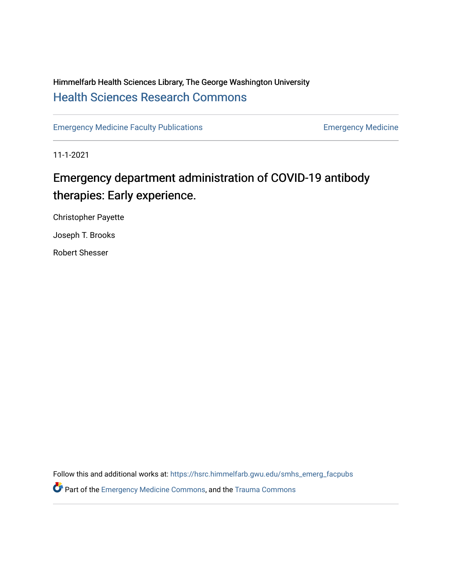# Himmelfarb Health Sciences Library, The George Washington University [Health Sciences Research Commons](https://hsrc.himmelfarb.gwu.edu/)

[Emergency Medicine Faculty Publications](https://hsrc.himmelfarb.gwu.edu/smhs_emerg_facpubs) **Emergency Medicine** Emergency Medicine

11-1-2021

# Emergency department administration of COVID-19 antibody therapies: Early experience.

Christopher Payette

Joseph T. Brooks

Robert Shesser

Follow this and additional works at: [https://hsrc.himmelfarb.gwu.edu/smhs\\_emerg\\_facpubs](https://hsrc.himmelfarb.gwu.edu/smhs_emerg_facpubs?utm_source=hsrc.himmelfarb.gwu.edu%2Fsmhs_emerg_facpubs%2F1131&utm_medium=PDF&utm_campaign=PDFCoverPages) 

**P** Part of the [Emergency Medicine Commons](http://network.bepress.com/hgg/discipline/685?utm_source=hsrc.himmelfarb.gwu.edu%2Fsmhs_emerg_facpubs%2F1131&utm_medium=PDF&utm_campaign=PDFCoverPages), and the Trauma Commons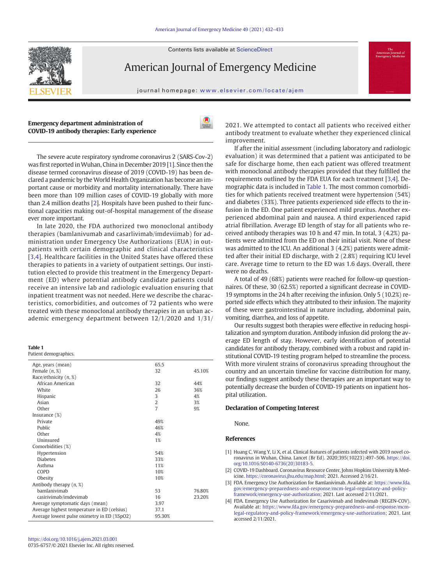Contents lists available at ScienceDirect



American Journal of Emergency Medicine

journal homepage: <www.elsevier.com/locate/ajem>

## Emergency department administration of COVID-19 antibody therapies: Early experience



The severe acute respiratory syndrome coronavirus 2 (SARS-Cov-2) was first reported inWuhan, China in December 2019 [1]. Since then the disease termed coronavirus disease of 2019 (COVID-19) has been declared a pandemic by the World Health Organization has become an important cause or morbidity and mortality internationally. There have been more than 109 million cases of COVID-19 globally with more than 2.4 million deaths [2]. Hospitals have been pushed to their functional capacities making out-of-hospital management of the disease ever more important.

In late 2020, the FDA authorized two monoclonal antibody therapies (bamlanivumab and casarlivimab/imdeviimab) for administration under Emergency Use Authorizations (EUA) in outpatients with certain demographic and clinical characteristics [3,4]. Healthcare facilities in the United States have offered these therapies to patients in a variety of outpatient settings. Our institution elected to provide this treatment in the Emergency Department (ED) where potential antibody candidate patients could receive an intensive lab and radiologic evaluation ensuring that inpatient treatment was not needed. Here we describe the characteristics, comorbidities, and outcomes of 72 patients who were treated with these monoclonal antibody therapies in an urban academic emergency department between 12/1/2020 and 1/31/

#### Table 1

Patient demographics.

| Age, years (mean)                           | 65.5           |        |
|---------------------------------------------|----------------|--------|
| Female $(n, \mathcal{X})$                   | 32             | 45.10% |
| Race/ethnicity $(n, \mathcal{X})$           |                |        |
| African American                            | 32             | 44%    |
| White                                       | 26             | 36%    |
| Hispanic                                    | 3              | 4%     |
| Asian                                       | $\overline{2}$ | 3%     |
| Other                                       | $\overline{7}$ | 9%     |
| Insurance $(\%)$                            |                |        |
| Private                                     | 49%            |        |
| Public                                      | 46%            |        |
| Other                                       | 4%             |        |
| Uninsured                                   | 1%             |        |
| Comorbidities (%)                           |                |        |
| Hypertension                                | 54%            |        |
| <b>Diabetes</b>                             | 33%            |        |
| Asthma                                      | 11%            |        |
| COPD                                        | 10%            |        |
| Obesity                                     | 10%            |        |
| Antibody therapy $(n, \mathcal{X})$         |                |        |
| bamlanivimab                                | 53             | 76.80% |
| casirivimab/imdevimab                       | 16             | 23.20% |
| Average symptomatic days (mean)             | 3.97           |        |
| Average highest temperature in ED (celsius) | 37.1           |        |
| Average lowest pulse oximetry in ED (%SpO2) | 95.30%         |        |

2021. We attempted to contact all patients who received either antibody treatment to evaluate whether they experienced clinical improvement.

If after the initial assessment (including laboratory and radiologic evaluation) it was determined that a patient was anticipated to be safe for discharge home, then each patient was offered treatment with monoclonal antibody therapies provided that they fulfilled the requirements outlined by the FDA EUA for each treatment [3,4]. Demographic data is included in Table 1. The most common comorbidities for which patients received treatment were hypertension (54%) and diabetes (33%). Three patients experienced side effects to the infusion in the ED. One patient experienced mild pruritus. Another experienced abdominal pain and nausea. A third experienced rapid atrial fibrillation. Average ED length of stay for all patients who received antibody therapies was 10 h and 47 min. In total, 3 (4.2%) patients were admitted from the ED on their initial visit. None of these was admitted to the ICU. An additional 3 (4.2%) patients were admitted after their initial ED discharge, with 2 (2.8%) requiring ICU level care. Average time to return to the ED was 1.6 days. Overall, there were no deaths.

A total of 49 (68%) patients were reached for follow-up questionnaires. Of these, 30 (62.5%) reported a significant decrease in COVID-19 symptoms in the 24 h after receiving the infusion. Only 5 (10.2%) reported side effects which they attributed to their infusion. The majority of these were gastrointestinal in nature including, abdominal pain, vomiting, diarrhea, and loss of appetite.

Our results suggest both therapies were effective in reducing hospitalization and symptom duration. Antibody infusion did prolong the average ED length of stay. However, early identification of potential candidates for antibody therapy, combined with a robust and rapid institutional COVID-19 testing program helped to streamline the process. With more virulent strains of coronavirus spreading throughout the country and an uncertain timeline for vaccine distribution for many, our findings suggest antibody these therapies are an important way to potentially decrease the burden of COVID-19 patients on inpatient hospital utilization.

#### Declaration of Competing Interest

None.

### References

- [1] Huang C, Wang Y, Li X, et al. Clinical features of patients infected with 2019 novel coronavirus in Wuhan, China. Lancet (Br Ed). 2020;395(10223):497–506. [https://doi.](https://doi.org/10.1016/S0140-6736(20)30183-5) [org/10.1016/S0140-6736\(20\)30183-5](https://doi.org/10.1016/S0140-6736(20)30183-5).
- [2] COVID-19 Dashboard. Coronavirus Resource Center, Johns Hopkins University & Medicine. [https://coronavirus.jhu.edu/map.html;](https://coronavirus.jhu.edu/map.html) 2021. Accessed 2/16/21.
- [3] FDA. Emergency Use Authorization for Bamlanivimab. Available at: [https://www.fda.](https://www.fda.gov/emergency-preparedness-and-response/mcm-legal-regulatory-and-policy-framework/emergency-use-authorization) [gov/emergency-preparedness-and-response/mcm-legal-regulatory-and-policy](https://www.fda.gov/emergency-preparedness-and-response/mcm-legal-regulatory-and-policy-framework/emergency-use-authorization)[framework/emergency-use-authorization;](https://www.fda.gov/emergency-preparedness-and-response/mcm-legal-regulatory-and-policy-framework/emergency-use-authorization) 2021. Last accessed 2/11/2021.
- [4] FDA. Emergency Use Authorization for Casarivimab and Imdevimab (REGEN-COV). Available at: [https://www.fda.gov/emergency-preparedness-and-response/mcm](https://www.fda.gov/emergency-preparedness-and-response/mcm-legal-regulatory-and-policy-framework/emergency-use-authorization)[legal-regulatory-and-policy-framework/emergency-use-authorization](https://www.fda.gov/emergency-preparedness-and-response/mcm-legal-regulatory-and-policy-framework/emergency-use-authorization); 2021. Last accessed 2/11/2021.